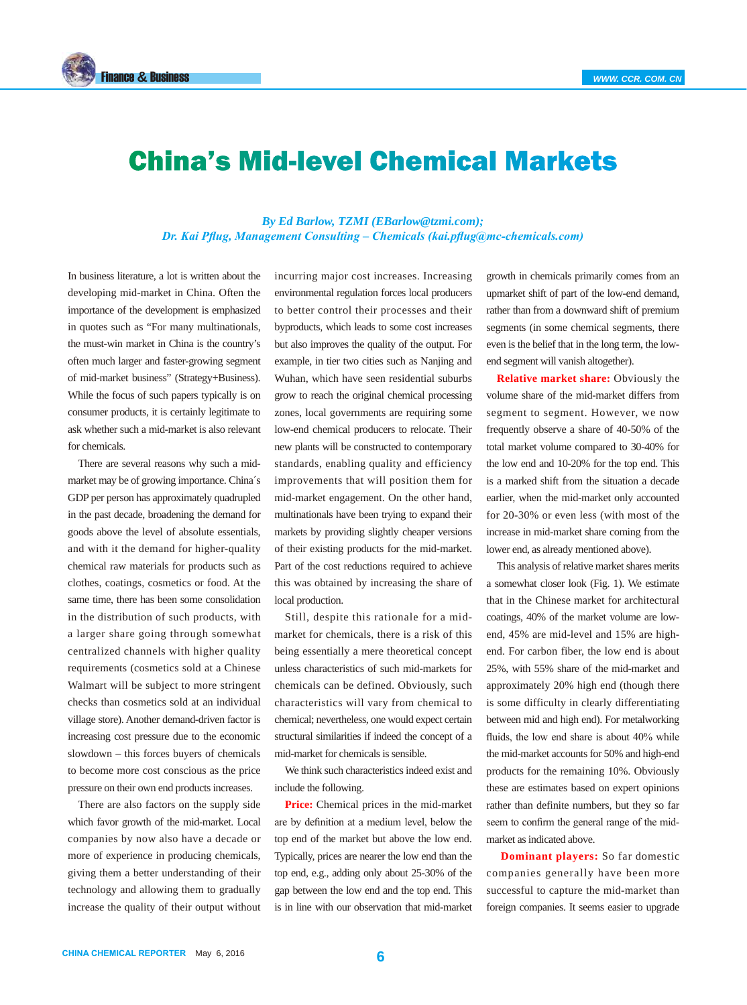

## China's Mid-level Chemical Markets

## *By Ed Barlow, TZMI (EBarlow@tzmi.com); Dr. Kai Pflug, Management Consulting – Chemicals (kai.pflug@mc-chemicals.com)*

In business literature, a lot is written about the developing mid-market in China. Often the importance of the development is emphasized in quotes such as "For many multinationals, the must-win market in China is the country's often much larger and faster-growing segment of mid-market business" (Strategy+Business). While the focus of such papers typically is on consumer products, it is certainly legitimate to ask whether such a mid-market is also relevant for chemicals.

There are several reasons why such a midmarket may be of growing importance. China´s GDP per person has approximately quadrupled in the past decade, broadening the demand for goods above the level of absolute essentials, and with it the demand for higher-quality chemical raw materials for products such as clothes, coatings, cosmetics or food. At the same time, there has been some consolidation in the distribution of such products, with a larger share going through somewhat centralized channels with higher quality requirements (cosmetics sold at a Chinese Walmart will be subject to more stringent checks than cosmetics sold at an individual village store). Another demand-driven factor is increasing cost pressure due to the economic slowdown – this forces buyers of chemicals to become more cost conscious as the price pressure on their own end products increases.

There are also factors on the supply side which favor growth of the mid-market. Local companies by now also have a decade or more of experience in producing chemicals, giving them a better understanding of their technology and allowing them to gradually increase the quality of their output without incurring major cost increases. Increasing environmental regulation forces local producers to better control their processes and their byproducts, which leads to some cost increases but also improves the quality of the output. For example, in tier two cities such as Nanjing and Wuhan, which have seen residential suburbs grow to reach the original chemical processing zones, local governments are requiring some low-end chemical producers to relocate. Their new plants will be constructed to contemporary standards, enabling quality and efficiency improvements that will position them for mid-market engagement. On the other hand, multinationals have been trying to expand their markets by providing slightly cheaper versions of their existing products for the mid-market. Part of the cost reductions required to achieve this was obtained by increasing the share of local production.

Still, despite this rationale for a midmarket for chemicals, there is a risk of this being essentially a mere theoretical concept unless characteristics of such mid-markets for chemicals can be defined. Obviously, such characteristics will vary from chemical to chemical; nevertheless, one would expect certain structural similarities if indeed the concept of a mid-market for chemicals is sensible.

We think such characteristics indeed exist and include the following.

**Price:** Chemical prices in the mid-market are by definition at a medium level, below the top end of the market but above the low end. Typically, prices are nearer the low end than the top end, e.g., adding only about 25-30% of the gap between the low end and the top end. This is in line with our observation that mid-market growth in chemicals primarily comes from an upmarket shift of part of the low-end demand, rather than from a downward shift of premium segments (in some chemical segments, there even is the belief that in the long term, the lowend segment will vanish altogether).

**Relative market share:** Obviously the volume share of the mid-market differs from segment to segment. However, we now frequently observe a share of 40-50% of the total market volume compared to 30-40% for the low end and 10-20% for the top end. This is a marked shift from the situation a decade earlier, when the mid-market only accounted for 20-30% or even less (with most of the increase in mid-market share coming from the lower end, as already mentioned above).

This analysis of relative market shares merits a somewhat closer look (Fig. 1). We estimate that in the Chinese market for architectural coatings, 40% of the market volume are lowend, 45% are mid-level and 15% are highend. For carbon fiber, the low end is about 25%, with 55% share of the mid-market and approximately 20% high end (though there is some difficulty in clearly differentiating between mid and high end). For metalworking fluids, the low end share is about 40% while the mid-market accounts for 50% and high-end products for the remaining 10%. Obviously these are estimates based on expert opinions rather than definite numbers, but they so far seem to confirm the general range of the midmarket as indicated above.

**Dominant players:** So far domestic companies generally have been more successful to capture the mid-market than foreign companies. It seems easier to upgrade